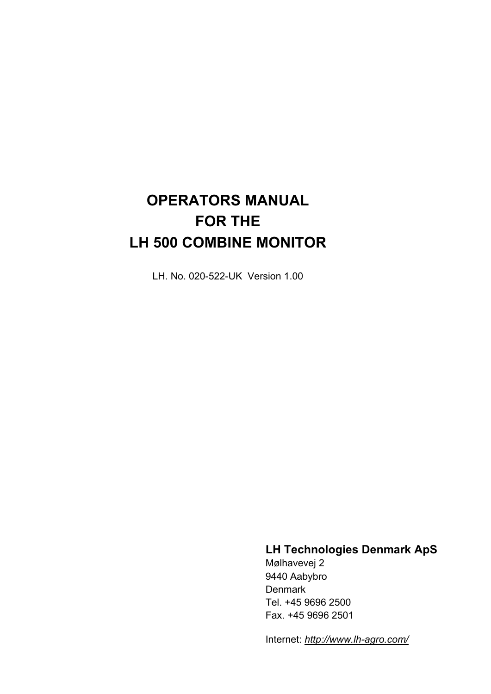# **OPERATORS MANUAL FOR THE LH 500 COMBINE MONITOR**

LH. No. 020-522-UK Version 1.00

# **LH Technologies Denmark ApS**

Mølhavevej 2 9440 Aabybro **Denmark** Tel. +45 9696 2500 Fax. +45 9696 2501

Internet: *<http://www.lh-agro.com/>*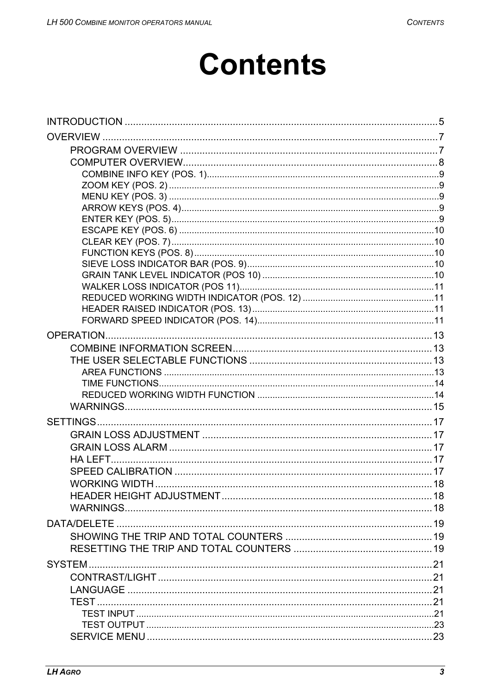# **Contents**

| <b>WORKING WIDTH</b> |  |
|----------------------|--|
|                      |  |
|                      |  |
|                      |  |
|                      |  |
|                      |  |
|                      |  |
|                      |  |
|                      |  |
|                      |  |
|                      |  |
|                      |  |
|                      |  |
|                      |  |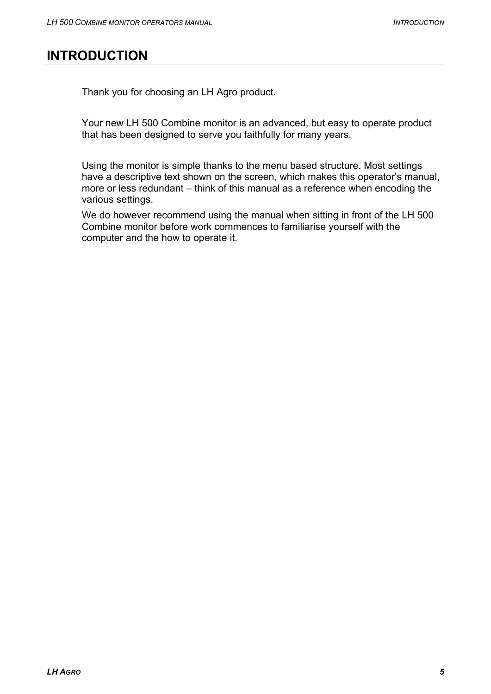# <span id="page-4-0"></span>**INTRODUCTION**

Thank you for choosing an LH Agro product.

Your new LH 500 Combine monitor is an advanced, but easy to operate product that has been designed to serve you faithfully for many years.

Using the monitor is simple thanks to the menu based structure. Most settings have a descriptive text shown on the screen, which makes this operator's manual, more or less redundant – think of this manual as a reference when encoding the various settings.

We do however recommend using the manual when sitting in front of the LH 500 Combine monitor before work commences to familiarise yourself with the computer and the how to operate it.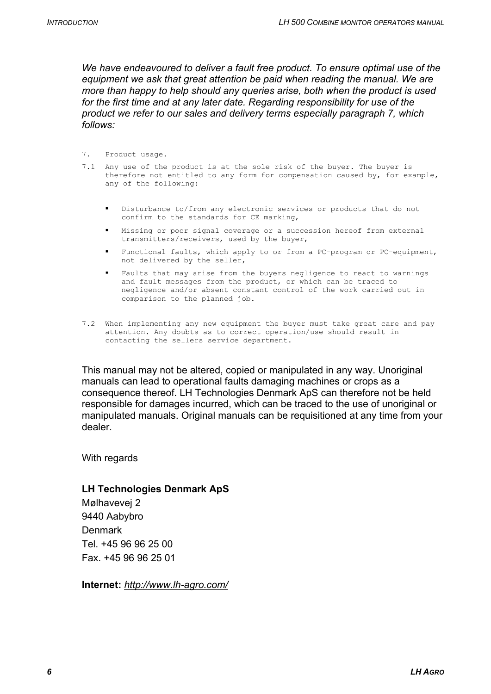*We have endeavoured to deliver a fault free product. To ensure optimal use of the equipment we ask that great attention be paid when reading the manual. We are more than happy to help should any queries arise, both when the product is used for the first time and at any later date. Regarding responsibility for use of the product we refer to our sales and delivery terms especially paragraph 7, which follows:* 

- 7. Product usage.
- 7.1 Any use of the product is at the sole risk of the buyer. The buyer is therefore not entitled to any form for compensation caused by, for example, any of the following:
	- Disturbance to/from any electronic services or products that do not confirm to the standards for CE marking,
	- Missing or poor signal coverage or a succession hereof from external transmitters/receivers, used by the buyer,
	- Functional faults, which apply to or from a PC-program or PC-equipment, not delivered by the seller,
	- Faults that may arise from the buyers negligence to react to warnings and fault messages from the product, or which can be traced to negligence and/or absent constant control of the work carried out in comparison to the planned job.
- 7.2 When implementing any new equipment the buyer must take great care and pay attention. Any doubts as to correct operation/use should result in contacting the sellers service department.

This manual may not be altered, copied or manipulated in any way. Unoriginal manuals can lead to operational faults damaging machines or crops as a consequence thereof. LH Technologies Denmark ApS can therefore not be held responsible for damages incurred, which can be traced to the use of unoriginal or manipulated manuals. Original manuals can be requisitioned at any time from your dealer.

With regards

#### **LH Technologies Denmark ApS**

Mølhavevej 2 9440 Aabybro Denmark Tel. +45 96 96 25 00 Fax. +45 96 96 25 01

**Internet:** *<http://www.lh-agro.com/>*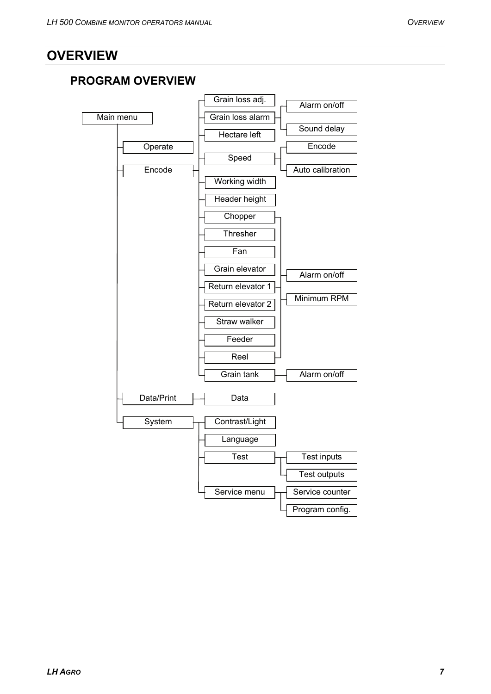# <span id="page-6-0"></span>**OVERVIEW**

# **PROGRAM OVERVIEW**

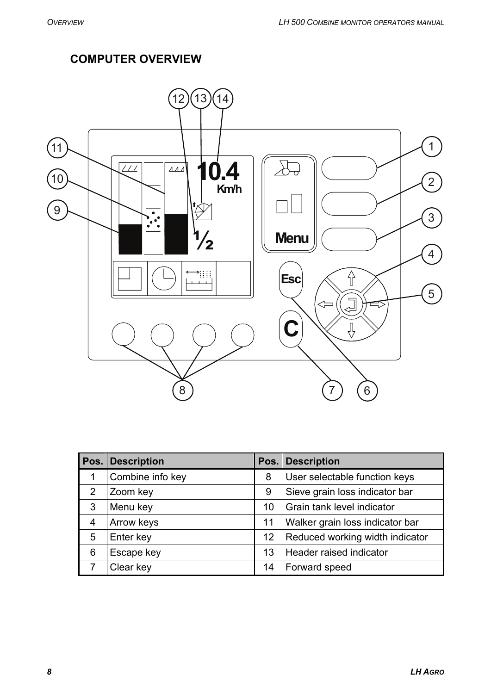# **COMPUTER OVERVIEW**

<span id="page-7-0"></span>

|   | Pos. Description |    | Pos. Description                |
|---|------------------|----|---------------------------------|
| 1 | Combine info key | 8  | User selectable function keys   |
| 2 | Zoom key         | 9  | Sieve grain loss indicator bar  |
| 3 | Menu key         | 10 | Grain tank level indicator      |
| 4 | Arrow keys       | 11 | Walker grain loss indicator bar |
| 5 | Enter key        | 12 | Reduced working width indicator |
| 6 | Escape key       | 13 | Header raised indicator         |
|   | Clear key        | 14 | Forward speed                   |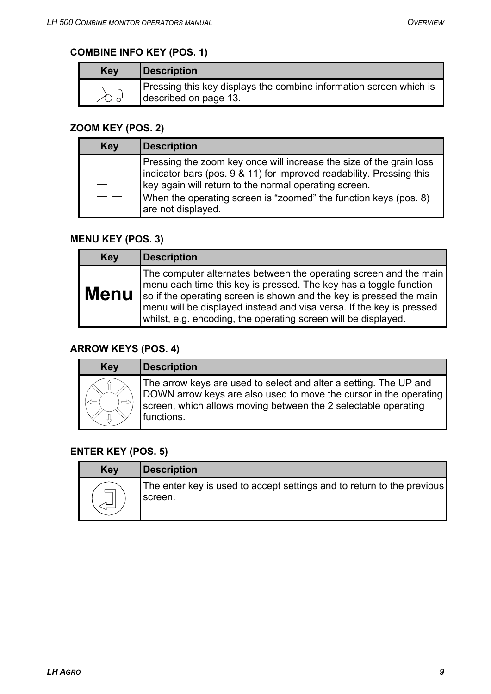## <span id="page-8-0"></span>**COMBINE INFO KEY (POS. 1)**

| Key | <b>Description</b>                                                                       |
|-----|------------------------------------------------------------------------------------------|
|     | Pressing this key displays the combine information screen which is described on page 13. |

### **ZOOM KEY (POS. 2)**

| <b>Key</b> | <b>Description</b>                                                                                                                                                                                                                                                                             |
|------------|------------------------------------------------------------------------------------------------------------------------------------------------------------------------------------------------------------------------------------------------------------------------------------------------|
|            | Pressing the zoom key once will increase the size of the grain loss<br>indicator bars (pos. 9 & 11) for improved readability. Pressing this<br>key again will return to the normal operating screen.<br>When the operating screen is "zoomed" the function keys (pos. 8)<br>are not displayed. |

### **MENU KEY (POS. 3)**

| <b>Key</b>  | <b>Description</b>                                                                                                                                                                                                                                                                                                                                      |
|-------------|---------------------------------------------------------------------------------------------------------------------------------------------------------------------------------------------------------------------------------------------------------------------------------------------------------------------------------------------------------|
| <b>Menu</b> | The computer alternates between the operating screen and the main<br>menu each time this key is pressed. The key has a toggle function<br>so if the operating screen is shown and the key is pressed the main<br>menu will be displayed instead and visa versa. If the key is pressed<br>whilst, e.g. encoding, the operating screen will be displayed. |

### **ARROW KEYS (POS. 4)**

| <b>Key</b> | <b>Description</b>                                                                                                                                                                                                     |
|------------|------------------------------------------------------------------------------------------------------------------------------------------------------------------------------------------------------------------------|
| ⇔          | The arrow keys are used to select and alter a setting. The UP and<br>DOWN arrow keys are also used to move the cursor in the operating<br>screen, which allows moving between the 2 selectable operating<br>functions. |

## **ENTER KEY (POS. 5)**

| <b>Key</b> | <b>Description</b>                                                                |
|------------|-----------------------------------------------------------------------------------|
|            | The enter key is used to accept settings and to return to the previous<br>screen. |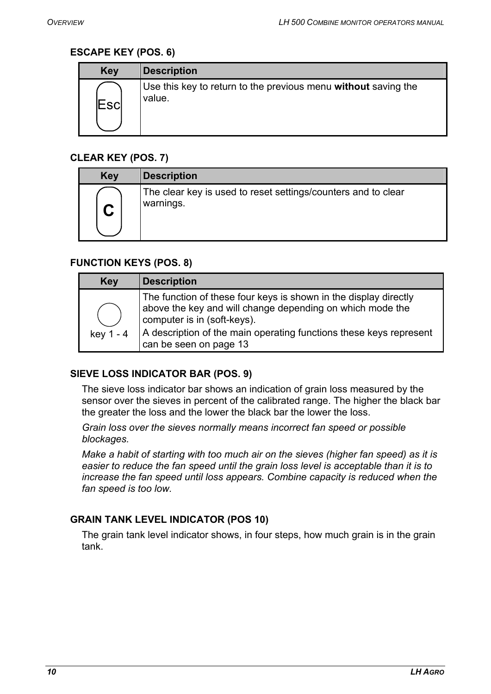#### <span id="page-9-0"></span>**ESCAPE KEY (POS. 6)**

| <b>Key</b>  | <b>Description</b>                                                       |
|-------------|--------------------------------------------------------------------------|
| <b>Escl</b> | Use this key to return to the previous menu without saving the<br>value. |

### **CLEAR KEY (POS. 7)**

| <b>Key</b> | <b>Description</b>                                                         |
|------------|----------------------------------------------------------------------------|
|            | The clear key is used to reset settings/counters and to clear<br>warnings. |

#### **FUNCTION KEYS (POS. 8)**

| <b>Key</b> | <b>Description</b>                                                                                                                                                                                                                                           |
|------------|--------------------------------------------------------------------------------------------------------------------------------------------------------------------------------------------------------------------------------------------------------------|
| key 1 - 4  | The function of these four keys is shown in the display directly<br>above the key and will change depending on which mode the<br>computer is in (soft-keys).<br>A description of the main operating functions these keys represent<br>can be seen on page 13 |

#### **SIEVE LOSS INDICATOR BAR (POS. 9)**

The sieve loss indicator bar shows an indication of grain loss measured by the sensor over the sieves in percent of the calibrated range. The higher the black bar the greater the loss and the lower the black bar the lower the loss.

*Grain loss over the sieves normally means incorrect fan speed or possible blockages.* 

*Make a habit of starting with too much air on the sieves (higher fan speed) as it is easier to reduce the fan speed until the grain loss level is acceptable than it is to*  increase the fan speed until loss appears. Combine capacity is reduced when the *fan speed is too low.*

#### **GRAIN TANK LEVEL INDICATOR (POS 10)**

The grain tank level indicator shows, in four steps, how much grain is in the grain tank.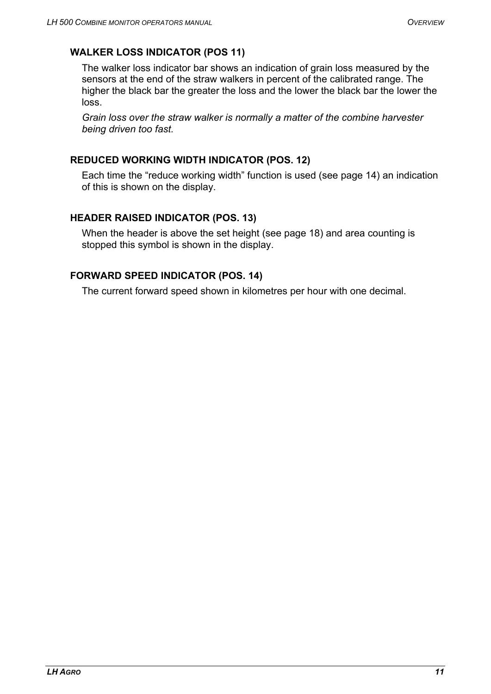### <span id="page-10-0"></span>**WALKER LOSS INDICATOR (POS 11)**

The walker loss indicator bar shows an indication of grain loss measured by the sensors at the end of the straw walkers in percent of the calibrated range. The higher the black bar the greater the loss and the lower the black bar the lower the loss.

*Grain loss over the straw walker is normally a matter of the combine harvester being driven too fast.*

### **REDUCED WORKING WIDTH INDICATOR (POS. 12)**

Each time the "reduce working width" function is used (see page [14\)](#page-13-1) an indication of this is shown on the display.

### **HEADER RAISED INDICATOR (POS. 13)**

When the header is above the set height (see page [18](#page-17-1)) and area counting is stopped this symbol is shown in the display.

### **FORWARD SPEED INDICATOR (POS. 14)**

The current forward speed shown in kilometres per hour with one decimal.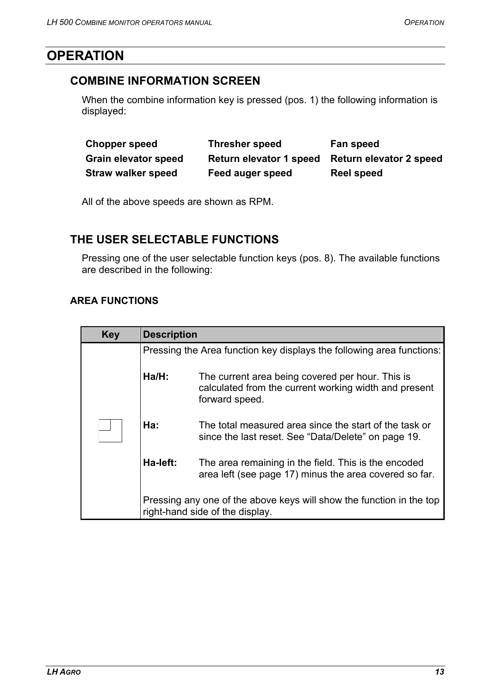# <span id="page-12-1"></span><span id="page-12-0"></span>**OPERATION**

# **COMBINE INFORMATION SCREEN**

When the combine information key is pressed (pos. 1) the following information is displayed:

| <b>Chopper speed</b>        | <b>Thresher speed</b>   | Fan speed                      |
|-----------------------------|-------------------------|--------------------------------|
| <b>Grain elevator speed</b> | Return elevator 1 speed | <b>Return elevator 2 speed</b> |
| <b>Straw walker speed</b>   | Feed auger speed        | Reel speed                     |

All of the above speeds are shown as RPM.

### <span id="page-12-2"></span>**THE USER SELECTABLE FUNCTIONS**

Pressing one of the user selectable function keys (pos. 8). The available functions are described in the following:

### **AREA FUNCTIONS**

<span id="page-12-3"></span>

| <b>Key</b> | <b>Description</b>                                                                                      |                                                                                                                             |  |
|------------|---------------------------------------------------------------------------------------------------------|-----------------------------------------------------------------------------------------------------------------------------|--|
|            | Pressing the Area function key displays the following area functions:                                   |                                                                                                                             |  |
|            | Ha/H:                                                                                                   | The current area being covered per hour. This is<br>calculated from the current working width and present<br>forward speed. |  |
|            | Ha:                                                                                                     | The total measured area since the start of the task or<br>since the last reset. See "Data/Delete" on page 19.               |  |
|            | Ha-left:                                                                                                | The area remaining in the field. This is the encoded<br>area left (see page 17) minus the area covered so far.              |  |
|            | Pressing any one of the above keys will show the function in the top<br>right-hand side of the display. |                                                                                                                             |  |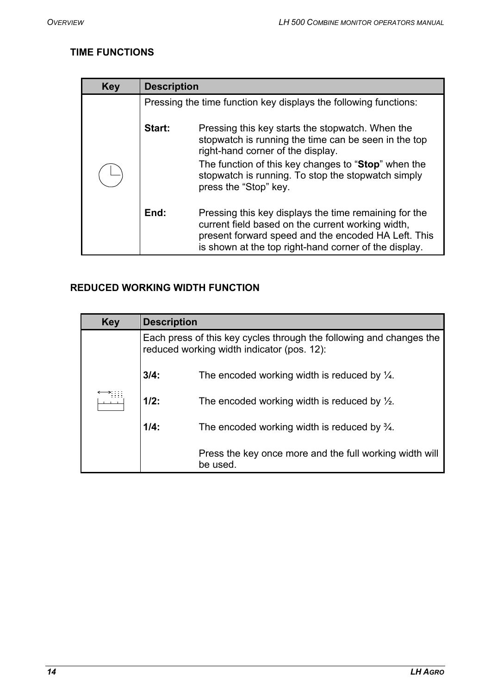# <span id="page-13-0"></span>**TIME FUNCTIONS**

| <b>Key</b> | <b>Description</b> |                                                                                                                                                                                                                                                                                     |
|------------|--------------------|-------------------------------------------------------------------------------------------------------------------------------------------------------------------------------------------------------------------------------------------------------------------------------------|
|            |                    | Pressing the time function key displays the following functions:                                                                                                                                                                                                                    |
|            | Start:             | Pressing this key starts the stopwatch. When the<br>stopwatch is running the time can be seen in the top<br>right-hand corner of the display.<br>The function of this key changes to "Stop" when the<br>stopwatch is running. To stop the stopwatch simply<br>press the "Stop" key. |
|            | End:               | Pressing this key displays the time remaining for the<br>current field based on the current working width,<br>present forward speed and the encoded HA Left. This<br>is shown at the top right-hand corner of the display.                                                          |

# <span id="page-13-1"></span>**REDUCED WORKING WIDTH FUNCTION**

| <b>Key</b> | <b>Description</b> |                                                                                                                   |
|------------|--------------------|-------------------------------------------------------------------------------------------------------------------|
|            |                    | Each press of this key cycles through the following and changes the<br>reduced working width indicator (pos. 12): |
|            | 3/4:               | The encoded working width is reduced by $\frac{1}{4}$ .                                                           |
|            | $1/2$ :            | The encoded working width is reduced by $\frac{1}{2}$ .                                                           |
|            | $1/4$ :            | The encoded working width is reduced by $\frac{3}{4}$ .                                                           |
|            |                    | Press the key once more and the full working width will<br>be used.                                               |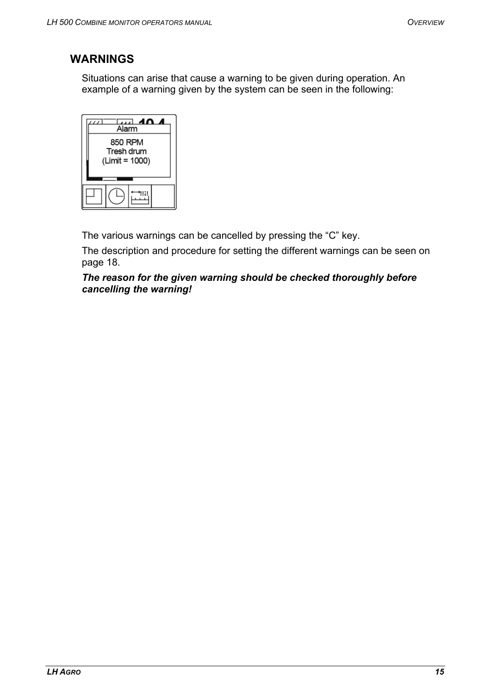# <span id="page-14-0"></span>**WARNINGS**

Situations can arise that cause a warning to be given during operation. An example of a warning given by the system can be seen in the following:



The various warnings can be cancelled by pressing the "C" key.

The description and procedure for setting the different warnings can be seen on page [18.](#page-17-2)

*The reason for the given warning should be checked thoroughly before cancelling the warning!*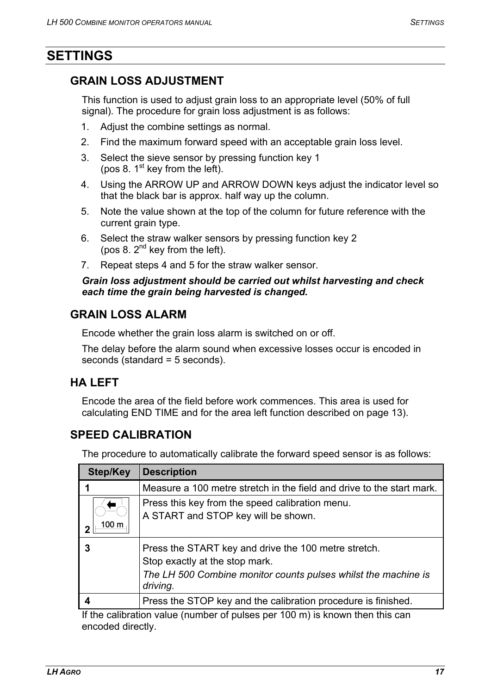# <span id="page-16-0"></span>**SETTINGS**

# **GRAIN LOSS ADJUSTMENT**

This function is used to adjust grain loss to an appropriate level (50% of full signal). The procedure for grain loss adjustment is as follows:

- 1. Adjust the combine settings as normal.
- 2. Find the maximum forward speed with an acceptable grain loss level.
- 3. Select the sieve sensor by pressing function key 1 (pos 8.  $1<sup>st</sup>$  key from the left).
- 4. Using the ARROW UP and ARROW DOWN keys adjust the indicator level so that the black bar is approx. half way up the column.
- 5. Note the value shown at the top of the column for future reference with the current grain type.
- 6. Select the straw walker sensors by pressing function key 2 (pos 8.  $2^{nd}$  key from the left).
- 7. Repeat steps 4 and 5 for the straw walker sensor.

#### *Grain loss adjustment should be carried out whilst harvesting and check each time the grain being harvested is changed.*

# **GRAIN LOSS ALARM**

Encode whether the grain loss alarm is switched on or off.

The delay before the alarm sound when excessive losses occur is encoded in seconds (standard = 5 seconds).

# <span id="page-16-1"></span>**HA LEFT**

Encode the area of the field before work commences. This area is used for calculating END TIME and for the area left function described on page [13](#page-12-3)).

# **SPEED CALIBRATION**

The procedure to automatically calibrate the forward speed sensor is as follows:

| Step/Key | <b>Description</b>                                                                                                                                                   |
|----------|----------------------------------------------------------------------------------------------------------------------------------------------------------------------|
|          | Measure a 100 metre stretch in the field and drive to the start mark.                                                                                                |
|          | Press this key from the speed calibration menu.<br>A START and STOP key will be shown.                                                                               |
| 3        | Press the START key and drive the 100 metre stretch.<br>Stop exactly at the stop mark.<br>The LH 500 Combine monitor counts pulses whilst the machine is<br>driving. |
|          | Press the STOP key and the calibration procedure is finished.                                                                                                        |

If the calibration value (number of pulses per 100 m) is known then this can encoded directly.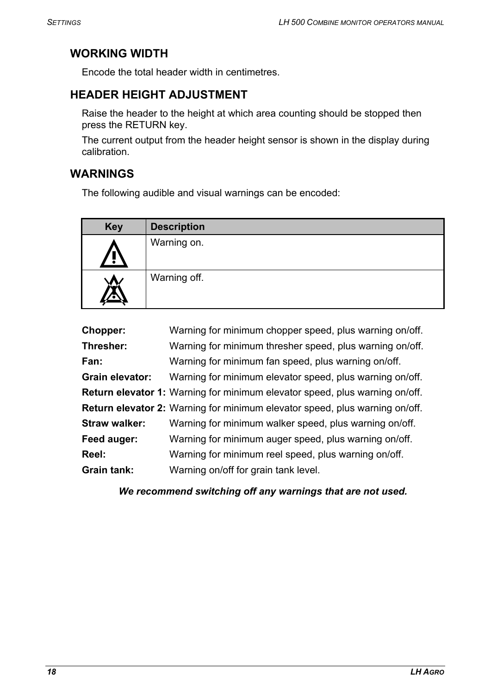# <span id="page-17-0"></span>**WORKING WIDTH**

Encode the total header width in centimetres.

# <span id="page-17-1"></span>**HEADER HEIGHT ADJUSTMENT**

Raise the header to the height at which area counting should be stopped then press the RETURN key.

The current output from the header height sensor is shown in the display during calibration.

# <span id="page-17-2"></span>**WARNINGS**

The following audible and visual warnings can be encoded:

| <b>Key</b>  | <b>Description</b> |
|-------------|--------------------|
| <u>/ : </u> | Warning on.        |
|             | Warning off.       |

| Chopper:               | Warning for minimum chopper speed, plus warning on/off.                            |
|------------------------|------------------------------------------------------------------------------------|
| Thresher:              | Warning for minimum thresher speed, plus warning on/off.                           |
| Fan:                   | Warning for minimum fan speed, plus warning on/off.                                |
| <b>Grain elevator:</b> | Warning for minimum elevator speed, plus warning on/off.                           |
|                        | <b>Return elevator 1:</b> Warning for minimum elevator speed, plus warning on/off. |
|                        | <b>Return elevator 2:</b> Warning for minimum elevator speed, plus warning on/off. |
| <b>Straw walker:</b>   | Warning for minimum walker speed, plus warning on/off.                             |
| Feed auger:            | Warning for minimum auger speed, plus warning on/off.                              |
| Reel:                  | Warning for minimum reel speed, plus warning on/off.                               |
| <b>Grain tank:</b>     | Warning on/off for grain tank level.                                               |

*We recommend switching off any warnings that are not used.*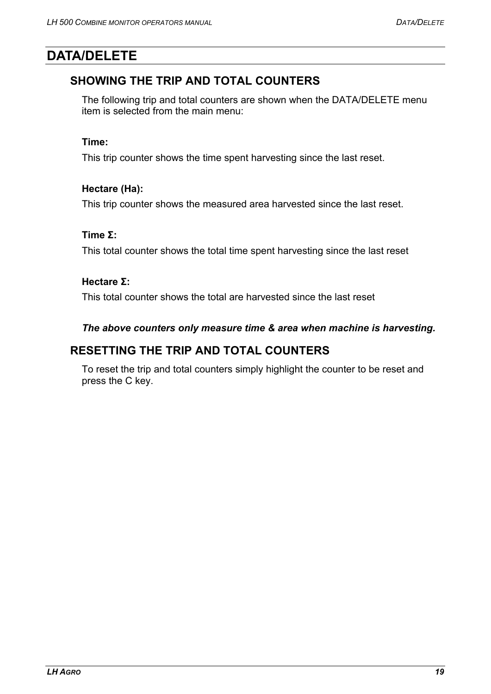# <span id="page-18-1"></span><span id="page-18-0"></span>**DATA/DELETE**

# **SHOWING THE TRIP AND TOTAL COUNTERS**

The following trip and total counters are shown when the DATA/DELETE menu item is selected from the main menu:

### **Time:**

This trip counter shows the time spent harvesting since the last reset.

### **Hectare (Ha):**

This trip counter shows the measured area harvested since the last reset.

### **Time Σ:**

This total counter shows the total time spent harvesting since the last reset

### **Hectare Σ:**

This total counter shows the total are harvested since the last reset

### *The above counters only measure time & area when machine is harvesting.*

### **RESETTING THE TRIP AND TOTAL COUNTERS**

To reset the trip and total counters simply highlight the counter to be reset and press the C key.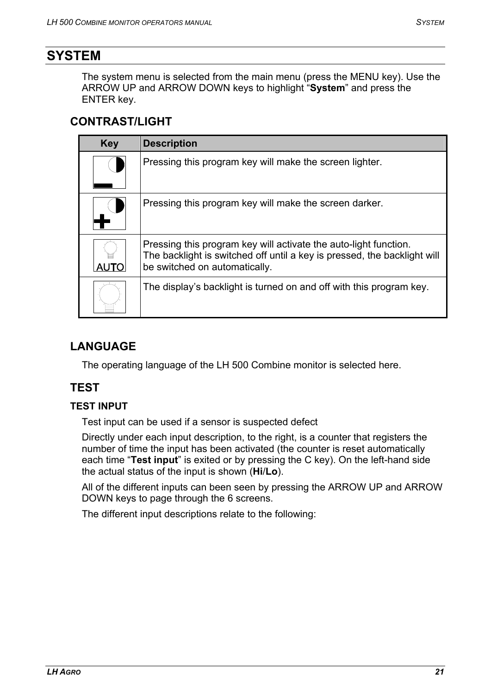# <span id="page-20-0"></span>**SYSTEM**

The system menu is selected from the main menu (press the MENU key). Use the ARROW UP and ARROW DOWN keys to highlight "**System**" and press the ENTER key.

# **CONTRAST/LIGHT**

| <b>Key</b> | <b>Description</b>                                                                                                                                                            |
|------------|-------------------------------------------------------------------------------------------------------------------------------------------------------------------------------|
|            | Pressing this program key will make the screen lighter.                                                                                                                       |
|            | Pressing this program key will make the screen darker.                                                                                                                        |
|            | Pressing this program key will activate the auto-light function.<br>The backlight is switched off until a key is pressed, the backlight will<br>be switched on automatically. |
|            | The display's backlight is turned on and off with this program key.                                                                                                           |

# **LANGUAGE**

The operating language of the LH 500 Combine monitor is selected here.

# **TEST**

### **TEST INPUT**

Test input can be used if a sensor is suspected defect

Directly under each input description, to the right, is a counter that registers the number of time the input has been activated (the counter is reset automatically each time "**Test input**" is exited or by pressing the C key). On the left-hand side the actual status of the input is shown (**Hi**/**Lo**).

All of the different inputs can been seen by pressing the ARROW UP and ARROW DOWN keys to page through the 6 screens.

The different input descriptions relate to the following: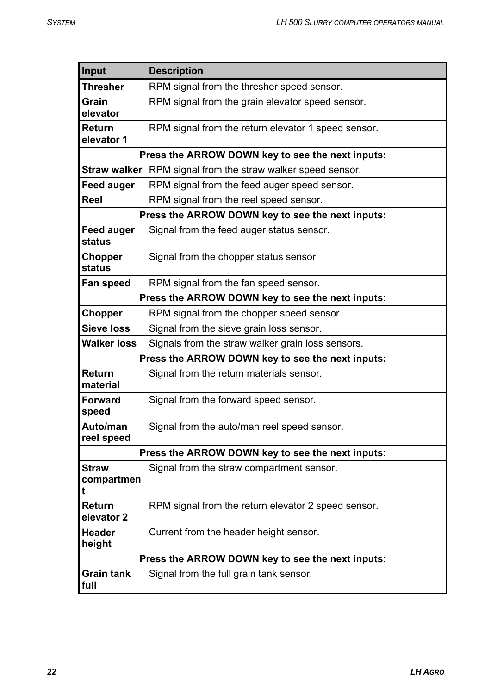| Input                           | <b>Description</b>                                  |
|---------------------------------|-----------------------------------------------------|
| <b>Thresher</b>                 | RPM signal from the thresher speed sensor.          |
| Grain<br>elevator               | RPM signal from the grain elevator speed sensor.    |
| Return<br>elevator 1            | RPM signal from the return elevator 1 speed sensor. |
|                                 | Press the ARROW DOWN key to see the next inputs:    |
| <b>Straw walker</b>             | RPM signal from the straw walker speed sensor.      |
| <b>Feed auger</b>               | RPM signal from the feed auger speed sensor.        |
| <b>Reel</b>                     | RPM signal from the reel speed sensor.              |
|                                 | Press the ARROW DOWN key to see the next inputs:    |
| <b>Feed auger</b><br>status     | Signal from the feed auger status sensor.           |
| Chopper<br>status               | Signal from the chopper status sensor               |
| Fan speed                       | RPM signal from the fan speed sensor.               |
|                                 | Press the ARROW DOWN key to see the next inputs:    |
| Chopper                         | RPM signal from the chopper speed sensor.           |
| <b>Sieve loss</b>               | Signal from the sieve grain loss sensor.            |
| <b>Walker loss</b>              | Signals from the straw walker grain loss sensors.   |
|                                 | Press the ARROW DOWN key to see the next inputs:    |
| <b>Return</b><br>material       | Signal from the return materials sensor.            |
| <b>Forward</b><br>speed         | Signal from the forward speed sensor.               |
| Auto/man<br>reel speed          | Signal from the auto/man reel speed sensor.         |
|                                 | Press the ARROW DOWN key to see the next inputs:    |
| <b>Straw</b><br>compartmen<br>t | Signal from the straw compartment sensor.           |
| Return<br>elevator 2            | RPM signal from the return elevator 2 speed sensor. |
| <b>Header</b><br>height         | Current from the header height sensor.              |
|                                 | Press the ARROW DOWN key to see the next inputs:    |
| <b>Grain tank</b><br>full       | Signal from the full grain tank sensor.             |